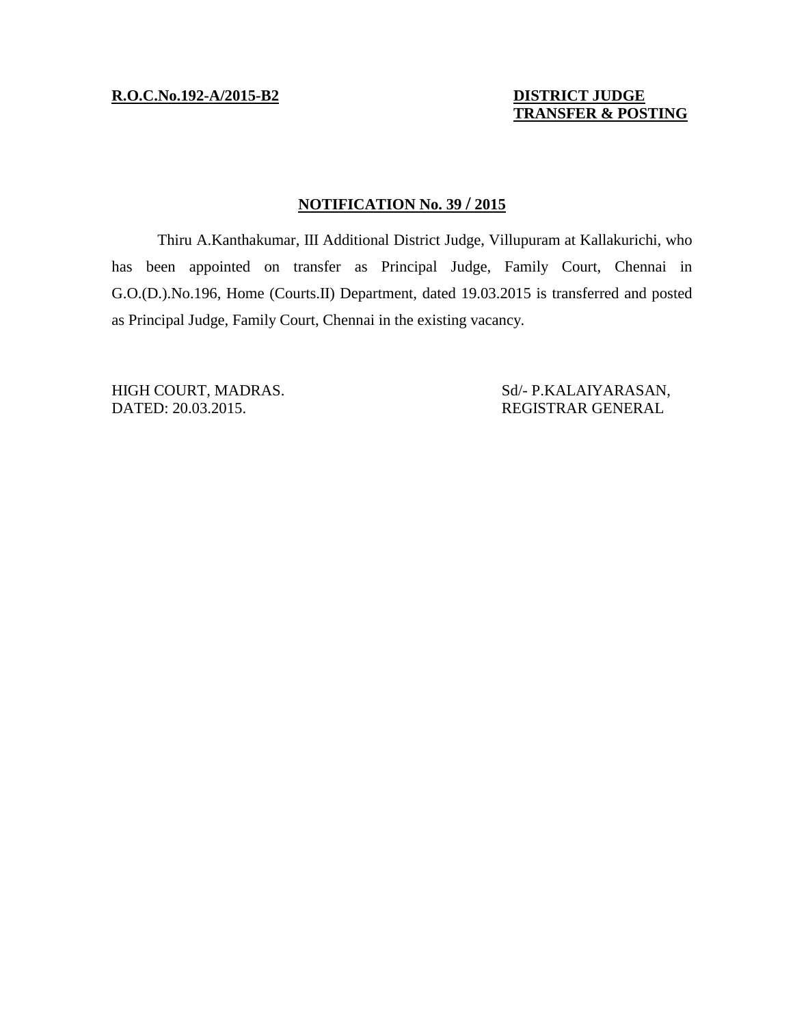**R.O.C.No.192-A/2015-B2 DISTRICT JUDGE**

 **TRANSFER & POSTING**

## **NOTIFICATION No. 39 / 2015**

Thiru A.Kanthakumar, III Additional District Judge, Villupuram at Kallakurichi, who has been appointed on transfer as Principal Judge, Family Court, Chennai in G.O.(D.).No.196, Home (Courts.II) Department, dated 19.03.2015 is transferred and posted as Principal Judge, Family Court, Chennai in the existing vacancy.

HIGH COURT, MADRAS. Sd/- P.KALAIYARASAN, DATED: 20.03.2015. REGISTRAR GENERAL